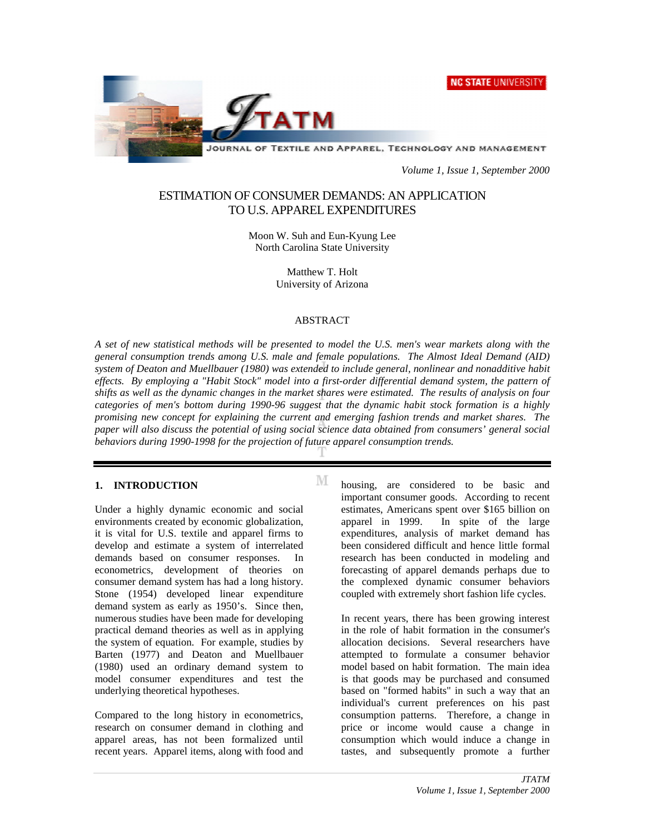



*Volume 1, Issue 1, September 2000*

# ESTIMATION OF CONSUMER DEMANDS: AN APPLICATION TO U.S. APPAREL EXPENDITURES

Moon W. Suh and Eun-Kyung Lee North Carolina State University

> Matthew T. Holt University of Arizona

#### ABSTRACT

*A set of new statistical methods will be presented to model the U.S. men's wear markets along with the general consumption trends among U.S. male and female populations. The Almost Ideal Demand (AID) system of Deaton and Muellbauer (1980) was extended to include general, nonlinear and nonadditive habit effects. By employing a "Habit Stock" model into a first-order differential demand system, the pattern of shifts as well as the dynamic changes in the market shares were estimated. The results of analysis on four categories of men's bottom during 1990-96 suggest that the dynamic habit stock formation is a highly promising new concept for explaining the current and emerging fashion trends and market shares. The paper will also discuss the potential of using social science data obtained from consumers' general social behaviors during 1990-1998 for the projection of future apparel consumption trends.*

М

## **1. INTRODUCTION**

Under a highly dynamic economic and social environments created by economic globalization, it is vital for U.S. textile and apparel firms to develop and estimate a system of interrelated demands based on consumer responses. In econometrics, development of theories on consumer demand system has had a long history. Stone (1954) developed linear expenditure demand system as early as 1950's. Since then, numerous studies have been made for developing practical demand theories as well as in applying the system of equation. For example, studies by Barten (1977) and Deaton and Muellbauer (1980) used an ordinary demand system to model consumer expenditures and test the underlying theoretical hypotheses.

Compared to the long history in econometrics, research on consumer demand in clothing and apparel areas, has not been formalized until recent years. Apparel items, along with food and housing, are considered to be basic and important consumer goods. According to recent estimates, Americans spent over \$165 billion on apparel in 1999. In spite of the large expenditures, analysis of market demand has been considered difficult and hence little formal research has been conducted in modeling and forecasting of apparel demands perhaps due to the complexed dynamic consumer behaviors coupled with extremely short fashion life cycles.

In recent years, there has been growing interest in the role of habit formation in the consumer's allocation decisions. Several researchers have attempted to formulate a consumer behavior model based on habit formation. The main idea is that goods may be purchased and consumed based on "formed habits" in such a way that an individual's current preferences on his past consumption patterns. Therefore, a change in price or income would cause a change in consumption which would induce a change in tastes, and subsequently promote a further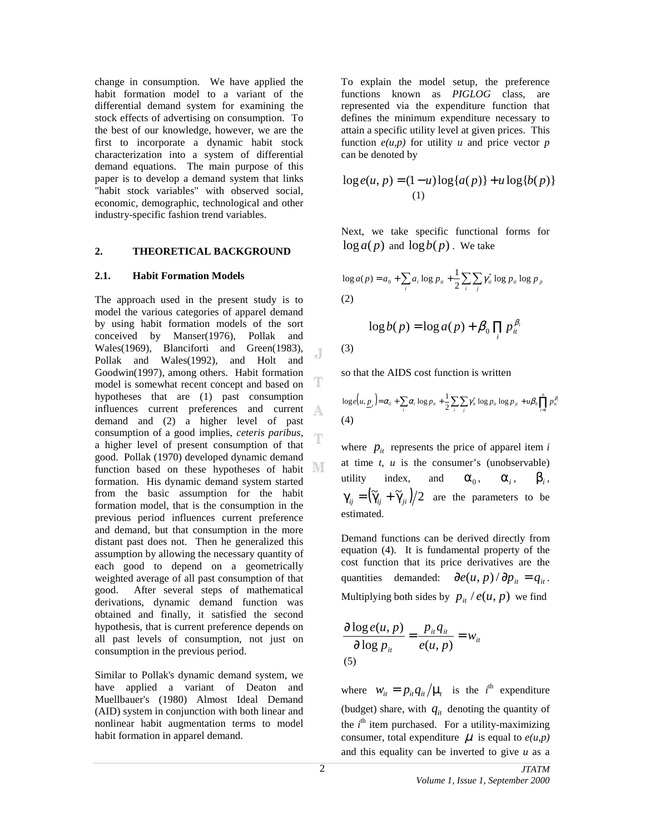change in consumption. We have applied the habit formation model to a variant of the differential demand system for examining the stock effects of advertising on consumption. To the best of our knowledge, however, we are the first to incorporate a dynamic habit stock characterization into a system of differential demand equations. The main purpose of this paper is to develop a demand system that links "habit stock variables" with observed social, economic, demographic, technological and other industry-specific fashion trend variables.

## **2. THEORETICAL BACKGROUND**

#### **2.1. Habit Formation Models**

The approach used in the present study is to model the various categories of apparel demand by using habit formation models of the sort conceived by Manser(1976), Pollak and Wales(1969), Blanciforti and Green(1983), J Pollak and Wales(1992), and Holt and Goodwin(1997), among others. Habit formation T model is somewhat recent concept and based on hypotheses that are (1) past consumption influences current preferences and current А demand and (2) a higher level of past consumption of a good implies, *ceteris paribus*, Ŧ a higher level of present consumption of that good. Pollak (1970) developed dynamic demand M function based on these hypotheses of habit formation. His dynamic demand system started from the basic assumption for the habit formation model, that is the consumption in the previous period influences current preference and demand, but that consumption in the more distant past does not. Then he generalized this assumption by allowing the necessary quantity of each good to depend on a geometrically weighted average of all past consumption of that good. After several steps of mathematical derivations, dynamic demand function was obtained and finally, it satisfied the second hypothesis, that is current preference depends on all past levels of consumption, not just on consumption in the previous period.

Similar to Pollak's dynamic demand system, we have applied a variant of Deaton and Muellbauer's (1980) Almost Ideal Demand (AID) system in conjunction with both linear and nonlinear habit augmentation terms to model habit formation in apparel demand.

To explain the model setup, the preference functions known as *PIGLOG* class, are represented via the expenditure function that defines the minimum expenditure necessary to attain a specific utility level at given prices. This function  $e(u, p)$  for utility *u* and price vector *p* can be denoted by

$$
\log e(u, p) = (1 - u) \log \{a(p)\} + u \log \{b(p)\}\
$$
  
(1)

Next, we take specific functional forms for  $\log a(p)$  and  $\log b(p)$ . We take

$$
\log a(p) = a_0 + \sum_i a_i \log p_{ii} + \frac{1}{2} \sum_i \sum_j \gamma_{ii}^* \log p_{ii} \log p_{ji}
$$
  
(2)

$$
\log b(p) = \log a(p) + \beta_0 \prod_i p_{ii}^{\beta_i}
$$

(3)

so that the AIDS cost function is written

$$
\log e(u, \underline{p}_i) = \alpha_0 + \sum_i \alpha_i \log p_{ii} + \frac{1}{2} \sum_i \sum_j \gamma_{ii}^* \log p_{ii} \log p_{ji} + u \beta_0 \prod_{i=1}^n p_{ii}^{\beta_i}
$$
  
(4)

where  $p_{it}$  represents the price of apparel item *i* at time *t*, *u* is the consumer's (unobservable) utility index, and  $\alpha_0$ ,  $\alpha_i$ ,  $\beta_i$ ,  $\gamma_{ii} = (\tilde{\gamma}_{ii} + \tilde{\gamma}_{ii})/2$  are the parameters to be estimated.

Demand functions can be derived directly from equation (4). It is fundamental property of the cost function that its price derivatives are the quantities demanded:  $\partial e(u, p)/\partial p_{it} = q_{it}$ . Multiplying both sides by  $p_{it} / e(u, p)$  we find

$$
\frac{\partial \log e(u, p)}{\partial \log p_{it}} = \frac{p_{it} q_{it}}{e(u, p)} = w_{it}
$$
\n(5)

where  $w_{it} = p_{it} q_{it}/\mu_t$  is the *i*<sup>th</sup> expenditure (budget) share, with  $q_{it}$  denoting the quantity of the *i*<sup>th</sup> item purchased. For a utility-maximizing consumer, total expenditure  $\mu$  is equal to  $e(u, p)$ and this equality can be inverted to give *u* as a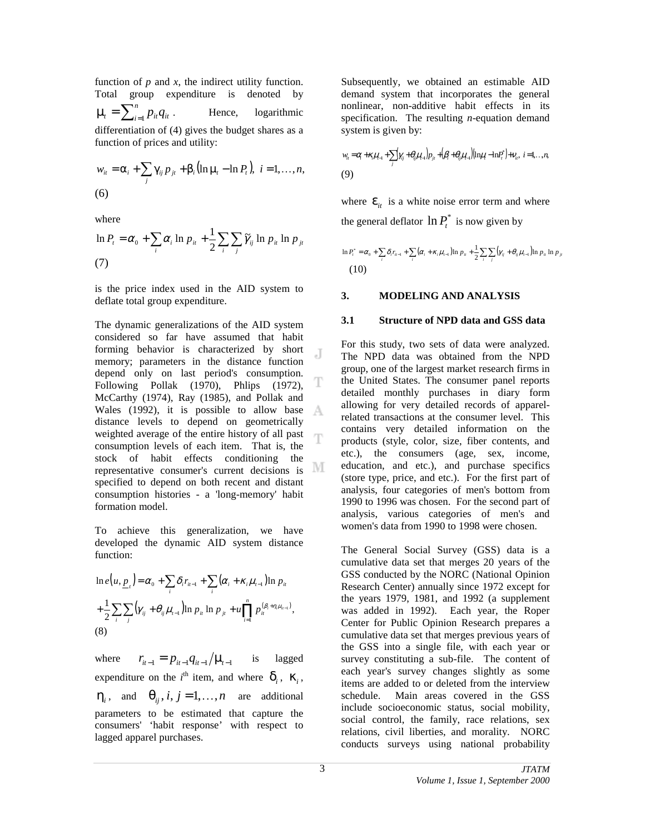function of  $p$  and  $x$ , the indirect utility function. Total group expenditure is denoted by  $\mu_t = \sum_{i=1}^n p_{it} q_{it}$ . Hence, logarithmic differentiation of (4) gives the budget shares as a function of prices and utility:

$$
w_{it} = \alpha_i + \sum_j \gamma_{ij} p_{jt} + \beta_i (\ln \mu_t - \ln P_t), \quad i = 1, \dots, n,
$$
  
(6)

where

$$
\ln P_t = \alpha_0 + \sum_i \alpha_i \ln p_{it} + \frac{1}{2} \sum_i \sum_j \widetilde{\gamma}_{ij} \ln p_{it} \ln p_{jt}
$$
  
(7)

is the price index used in the AID system to deflate total group expenditure.

The dynamic generalizations of the AID system considered so far have assumed that habit forming behavior is characterized by short J memory; parameters in the distance function depend only on last period's consumption. Following Pollak (1970), Phlips (1972), McCarthy (1974), Ray (1985), and Pollak and Wales (1992), it is possible to allow base A distance levels to depend on geometrically weighted average of the entire history of all past m consumption levels of each item. That is, the stock of habit effects conditioning the representative consumer's current decisions is specified to depend on both recent and distant consumption histories - a 'long-memory' habit formation model.

To achieve this generalization, we have developed the dynamic AID system distance function:

$$
\ln e(u, \underline{p}_t) = \alpha_0 + \sum_i \delta_i r_{i-1} + \sum_i (\alpha_i + \kappa_i \mu_{i-1}) \ln p_{it}
$$
  
+  $\frac{1}{2} \sum_i \sum_j (\gamma_{ij} + \theta_{ij} \mu_{i-1}) \ln p_{it} \ln p_{jt} + u \prod_{i=1}^n p_{it}^{(\beta_i + \eta_i \mu_{i-1})},$   
(8)

where  $r_{it-1} = p_{it-1} q_{it-1} / \mu_{t-1}$  is lagged expenditure on the *i*<sup>th</sup> item, and where  $\delta_i$ ,  $\kappa_i$ ,  $\eta_i$ , and  $\theta_{ii}$ ,  $i, j = 1, ..., n$  are additional parameters to be estimated that capture the consumers' 'habit response' with respect to lagged apparel purchases.

Subsequently, we obtained an estimable AID demand system that incorporates the general nonlinear, non-additive habit effects in its specification. The resulting *n*-equation demand system is given by:

$$
w_{it} = \alpha_{i} + \kappa_{i} \mu_{i-1} + \sum_{j} \gamma_{ij} + \theta_{ij} \mu_{i-1} \left[ p_{jt} + \left( \beta_{i} + \theta_{ij} \mu_{i-1} \right) \left( \ln \mu_{i} - \ln P_{i}^{*} \right) + \nu_{it}, \ i = 1, \ldots, n,
$$
\n(9)

where  $\mathbf{\varepsilon}_{it}$  is a white noise error term and where the general deflator  $\ln P_t^*$  is now given by

$$
\ln P_i^* = \alpha_0 + \sum_i \delta_i r_{i-1} + \sum_i (\alpha_i + \kappa_i \mu_{i-1}) \ln p_{i} + \frac{1}{2} \sum_i \sum_j (\gamma_{ij} + \theta_{ij} \mu_{i-1}) \ln p_{i} \ln p_{j}
$$
  
(10)

## **3. MODELING AND ANALYSIS**

#### **3.1 Structure of NPD data and GSS data**

For this study, two sets of data were analyzed. The NPD data was obtained from the NPD group, one of the largest market research firms in the United States. The consumer panel reports detailed monthly purchases in diary form allowing for very detailed records of apparelrelated transactions at the consumer level. This contains very detailed information on the products (style, color, size, fiber contents, and etc.), the consumers (age, sex, income, education, and etc.), and purchase specifics (store type, price, and etc.). For the first part of analysis, four categories of men's bottom from 1990 to 1996 was chosen. For the second part of analysis, various categories of men's and women's data from 1990 to 1998 were chosen.

The General Social Survey (GSS) data is a cumulative data set that merges 20 years of the GSS conducted by the NORC (National Opinion Research Center) annually since 1972 except for the years 1979, 1981, and 1992 (a supplement was added in 1992). Each year, the Roper Center for Public Opinion Research prepares a cumulative data set that merges previous years of the GSS into a single file, with each year or survey constituting a sub-file. The content of each year's survey changes slightly as some items are added to or deleted from the interview schedule. Main areas covered in the GSS include socioeconomic status, social mobility, social control, the family, race relations, sex relations, civil liberties, and morality. NORC conducts surveys using national probability

T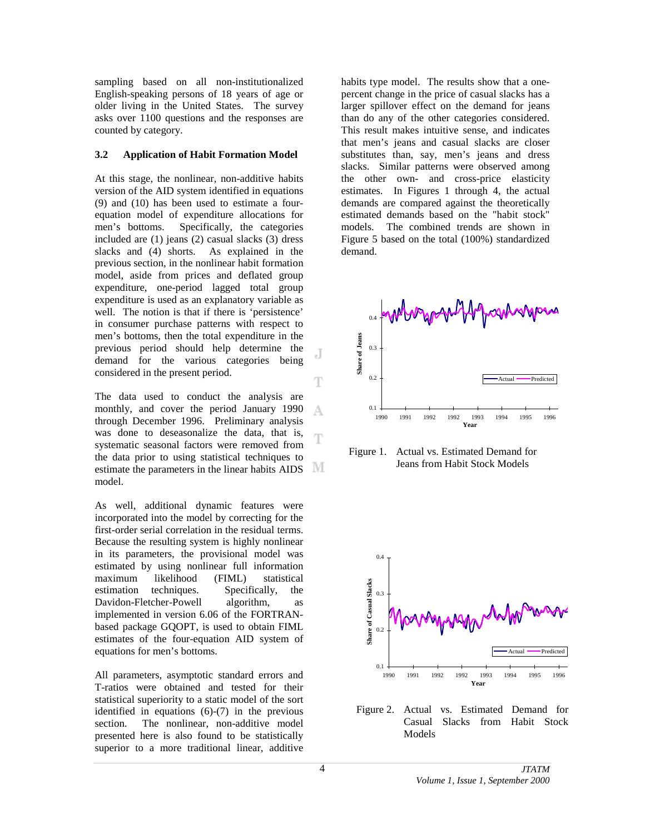sampling based on all non-institutionalized English-speaking persons of 18 years of age or older living in the United States. The survey asks over 1100 questions and the responses are counted by category.

## **3.2 Application of Habit Formation Model**

At this stage, the nonlinear, non-additive habits version of the AID system identified in equations (9) and (10) has been used to estimate a fourequation model of expenditure allocations for men's bottoms. Specifically, the categories included are (1) jeans (2) casual slacks (3) dress slacks and (4) shorts. As explained in the previous section, in the nonlinear habit formation model, aside from prices and deflated group expenditure, one-period lagged total group expenditure is used as an explanatory variable as well. The notion is that if there is 'persistence' in consumer purchase patterns with respect to men's bottoms, then the total expenditure in the previous period should help determine the demand for the various categories being considered in the present period.

The data used to conduct the analysis are monthly, and cover the period January 1990 А through December 1996. Preliminary analysis was done to deseasonalize the data, that is, T systematic seasonal factors were removed from the data prior to using statistical techniques to estimate the parameters in the linear habits AIDS M model.

As well, additional dynamic features were incorporated into the model by correcting for the first-order serial correlation in the residual terms. Because the resulting system is highly nonlinear in its parameters, the provisional model was estimated by using nonlinear full information maximum likelihood (FIML) statistical estimation techniques. Specifically, the Davidon-Fletcher-Powell algorithm, as implemented in version 6.06 of the FORTRANbased package GQOPT, is used to obtain FIML estimates of the four-equation AID system of equations for men's bottoms.

All parameters, asymptotic standard errors and T-ratios were obtained and tested for their statistical superiority to a static model of the sort identified in equations (6)-(7) in the previous section. The nonlinear, non-additive model presented here is also found to be statistically superior to a more traditional linear, additive habits type model. The results show that a onepercent change in the price of casual slacks has a larger spillover effect on the demand for jeans than do any of the other categories considered. This result makes intuitive sense, and indicates that men's jeans and casual slacks are closer substitutes than, say, men's jeans and dress slacks. Similar patterns were observed among the other own- and cross-price elasticity estimates. In Figures 1 through 4, the actual demands are compared against the theoretically estimated demands based on the "habit stock" models. The combined trends are shown in Figure 5 based on the total (100%) standardized demand.



Figure 1. Actual vs. Estimated Demand for Jeans from Habit Stock Models



Figure 2. Actual vs. Estimated Demand for Casual Slacks from Habit Stock Models

J

T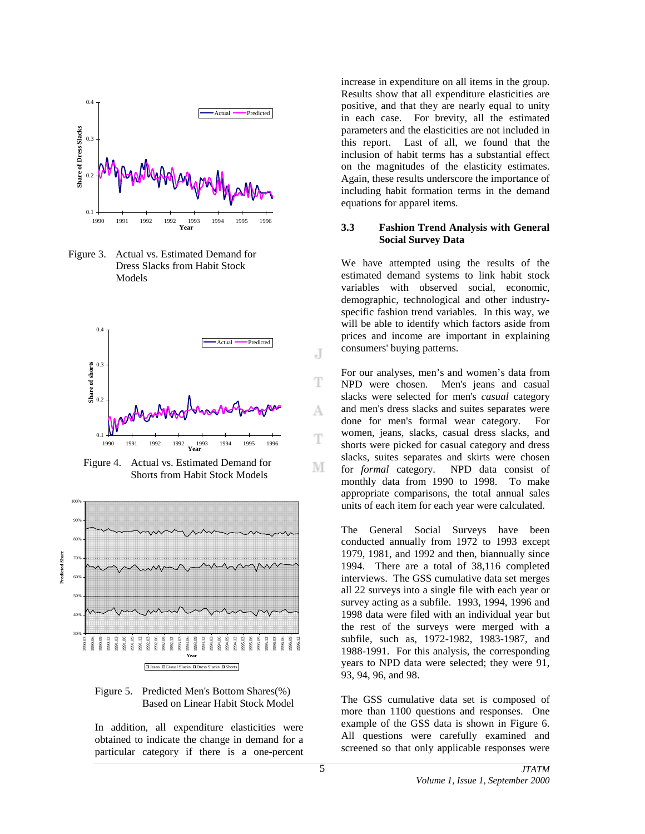

Figure 3. Actual vs. Estimated Demand for Dress Slacks from Habit Stock Models



Figure 4. Actual vs. Estimated Demand for Shorts from Habit Stock Models



Figure 5. Predicted Men's Bottom Shares(%) Based on Linear Habit Stock Model

In addition, all expenditure elasticities were obtained to indicate the change in demand for a particular category if there is a one-percent increase in expenditure on all items in the group. Results show that all expenditure elasticities are positive, and that they are nearly equal to unity in each case. For brevity, all the estimated parameters and the elasticities are not included in this report. Last of all, we found that the inclusion of habit terms has a substantial effect on the magnitudes of the elasticity estimates. Again, these results underscore the importance of including habit formation terms in the demand equations for apparel items.

## **3.3 Fashion Trend Analysis with General Social Survey Data**

We have attempted using the results of the estimated demand systems to link habit stock variables with observed social, economic, demographic, technological and other industryspecific fashion trend variables. In this way, we will be able to identify which factors aside from prices and income are important in explaining consumers' buying patterns.

For our analyses, men's and women's data from NPD were chosen. Men's jeans and casual slacks were selected for men's *casual* category and men's dress slacks and suites separates were done for men's formal wear category. For women, jeans, slacks, casual dress slacks, and shorts were picked for casual category and dress slacks, suites separates and skirts were chosen for *formal* category. NPD data consist of monthly data from 1990 to 1998. To make appropriate comparisons, the total annual sales units of each item for each year were calculated.

The General Social Surveys have been conducted annually from 1972 to 1993 except 1979, 1981, and 1992 and then, biannually since 1994. There are a total of 38,116 completed interviews. The GSS cumulative data set merges all 22 surveys into a single file with each year or survey acting as a subfile. 1993, 1994, 1996 and 1998 data were filed with an individual year but the rest of the surveys were merged with a subfile, such as, 1972-1982, 1983-1987, and 1988-1991. For this analysis, the corresponding years to NPD data were selected; they were 91, 93, 94, 96, and 98.

The GSS cumulative data set is composed of more than 1100 questions and responses. One example of the GSS data is shown in Figure 6. All questions were carefully examined and screened so that only applicable responses were

J

Ŧ

А

T

М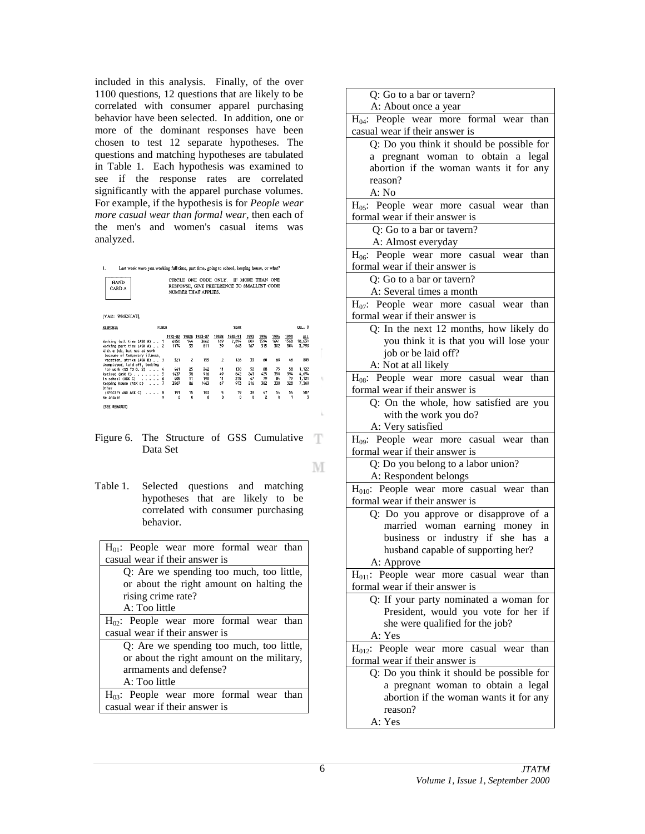included in this analysis. Finally, of the over 1100 questions, 12 questions that are likely to be correlated with consumer apparel purchasing behavior have been selected. In addition, one or more of the dominant responses have been chosen to test 12 separate hypotheses. The questions and matching hypotheses are tabulated in Table 1. Each hypothesis was examined to see if the response rates are correlated significantly with the apparel purchase volumes. For example, if the hypothesis is for *People wear more casual wear than formal wear*, then each of the men's and women's casual items was analyzed.



Last week were you working full time, part time, going to school, keeping house, or what? CIRCLE ONE CODE ONLY. IF MORE THAN ONE RESPONSE, GIVE PREFERENCE TO SMALLEST CODE NUMBER THAT APPLIES.

| IVAR: WRKSTATI                                                                                                             |                            |                      |                           |                      |                          |                        |                                |                        |                        |                                  |  |  |
|----------------------------------------------------------------------------------------------------------------------------|----------------------------|----------------------|---------------------------|----------------------|--------------------------|------------------------|--------------------------------|------------------------|------------------------|----------------------------------|--|--|
| RESPONSE                                                                                                                   | PUNCH                      |                      |                           | <b>YEAR</b>          |                          |                        |                                |                        | <b>DOLL</b> 2          |                                  |  |  |
| Horking full time (ASK A) 1<br>Horking part time (ASK A) 2<br>With a job, but not at work<br>because of temporary illness. | 1972-82<br>6150<br>1174    | 1982B<br>144<br>33   | 1983-87<br>3662<br>811    | 1987B<br>169<br>39   | 1988-91<br>2,894<br>648  | 1993<br>809<br>167     | 1994<br>1594<br>315            | 1996<br>1641<br>302    | 1998<br>1568<br>304    | ALL<br>18,631<br>3,793           |  |  |
| vacation, strike (ASK B) 3<br>Unemployed, laid off, looking                                                                | 321                        | $\overline{c}$       | 155                       | 2                    | 126                      | 33                     | 60                             | 60                     | 46                     | 805                              |  |  |
| for work (GO TO Q, 2) 4<br>Retired (ASK C) 5<br>In school (ASK C) 6<br>Keeping house $(ASK C)$ 7                           | 441<br>1437<br>405<br>3507 | 25<br>38<br>11<br>86 | 242<br>916<br>190<br>1463 | 11<br>49<br>11<br>67 | 130<br>842<br>215<br>973 | 52<br>243<br>47<br>216 | 88<br>425<br>79<br>382         | 75<br>350<br>84<br>338 | 58<br>394<br>79<br>328 | 1,122<br>4,694<br>1,121<br>7.360 |  |  |
| Other<br>(SPECIFY AND ASK C)<br>No answer<br><b><i>ESEE REMARKST</i></b>                                                   | 191<br>. 8                 | 15<br>0<br>0         | 103<br>$\mathbf 0$        | 5<br>0               | 79<br>0                  | 39<br>$\theta$         | 47<br>$\overline{\phantom{a}}$ | 54<br>O                | 54                     | 587<br>3                         |  |  |

Figure 6. The Structure of GSS Cumulative - T Data Set

М

k.

Table 1. Selected questions and matching hypotheses that are likely to be correlated with consumer purchasing behavior.

 $H_{01}$ : People wear more formal wear than casual wear if their answer is

Q: Are we spending too much, too little, or about the right amount on halting the rising crime rate? A: Too little  $H_{02}$ : People wear more formal wear than casual wear if their answer is Q: Are we spending too much, too little, or about the right amount on the military,

armaments and defense? A: Too little

 $H<sub>03</sub>$ : People wear more formal wear than casual wear if their answer is

| Q: Go to a bar or tavern?<br>A: About once a year                              |  |  |  |  |  |  |  |
|--------------------------------------------------------------------------------|--|--|--|--|--|--|--|
| $H_{04}$ : People wear more formal wear than<br>casual wear if their answer is |  |  |  |  |  |  |  |
| Q: Do you think it should be possible for                                      |  |  |  |  |  |  |  |
| a pregnant woman to obtain a legal                                             |  |  |  |  |  |  |  |
| abortion if the woman wants it for any                                         |  |  |  |  |  |  |  |
| reason?                                                                        |  |  |  |  |  |  |  |
| A: No                                                                          |  |  |  |  |  |  |  |
| $H_{05}$ : People wear more casual wear than                                   |  |  |  |  |  |  |  |
| formal wear if their answer is                                                 |  |  |  |  |  |  |  |
| Q: Go to a bar or tavern?                                                      |  |  |  |  |  |  |  |
| A: Almost everyday                                                             |  |  |  |  |  |  |  |
| $H_{06}$ : People wear more casual wear than                                   |  |  |  |  |  |  |  |
| formal wear if their answer is                                                 |  |  |  |  |  |  |  |
| Q: Go to a bar or tavern?                                                      |  |  |  |  |  |  |  |
| A: Several times a month                                                       |  |  |  |  |  |  |  |
| $H_{07}$ : People wear more casual wear than                                   |  |  |  |  |  |  |  |
| formal wear if their answer is                                                 |  |  |  |  |  |  |  |
| Q: In the next 12 months, how likely do                                        |  |  |  |  |  |  |  |
| you think it is that you will lose your                                        |  |  |  |  |  |  |  |
| job or be laid off?                                                            |  |  |  |  |  |  |  |
| A: Not at all likely                                                           |  |  |  |  |  |  |  |
| $H_{08}$ : People wear more casual wear than                                   |  |  |  |  |  |  |  |
| formal wear if their answer is                                                 |  |  |  |  |  |  |  |
| Q: On the whole, how satisfied are you                                         |  |  |  |  |  |  |  |
| with the work you do?                                                          |  |  |  |  |  |  |  |
| A: Very satisfied                                                              |  |  |  |  |  |  |  |
| H <sub>09</sub> : People wear more casual wear than                            |  |  |  |  |  |  |  |
| formal wear if their answer is                                                 |  |  |  |  |  |  |  |
| Q: Do you belong to a labor union?                                             |  |  |  |  |  |  |  |
| A: Respondent belongs                                                          |  |  |  |  |  |  |  |
| $H010$ : People wear more casual wear than                                     |  |  |  |  |  |  |  |
| formal wear if their answer is                                                 |  |  |  |  |  |  |  |
| Q: Do you approve or disapprove of a                                           |  |  |  |  |  |  |  |
| married woman earning money in                                                 |  |  |  |  |  |  |  |
| business or industry if she has<br>$\mathbf{a}$                                |  |  |  |  |  |  |  |
| husband capable of supporting her?                                             |  |  |  |  |  |  |  |
| A: Approve                                                                     |  |  |  |  |  |  |  |
| H <sub>011</sub> : People wear more casual wear than                           |  |  |  |  |  |  |  |
| formal wear if their answer is                                                 |  |  |  |  |  |  |  |
| Q: If your party nominated a woman for                                         |  |  |  |  |  |  |  |
| President, would you vote for her if                                           |  |  |  |  |  |  |  |
| she were qualified for the job?                                                |  |  |  |  |  |  |  |
| A: Yes                                                                         |  |  |  |  |  |  |  |
| H <sub>012</sub> : People wear more casual wear than                           |  |  |  |  |  |  |  |
| formal wear if their answer is                                                 |  |  |  |  |  |  |  |
| Q: Do you think it should be possible for                                      |  |  |  |  |  |  |  |
| a pregnant woman to obtain a legal                                             |  |  |  |  |  |  |  |
| abortion if the woman wants it for any                                         |  |  |  |  |  |  |  |
| reason?                                                                        |  |  |  |  |  |  |  |
|                                                                                |  |  |  |  |  |  |  |
| A: Yes                                                                         |  |  |  |  |  |  |  |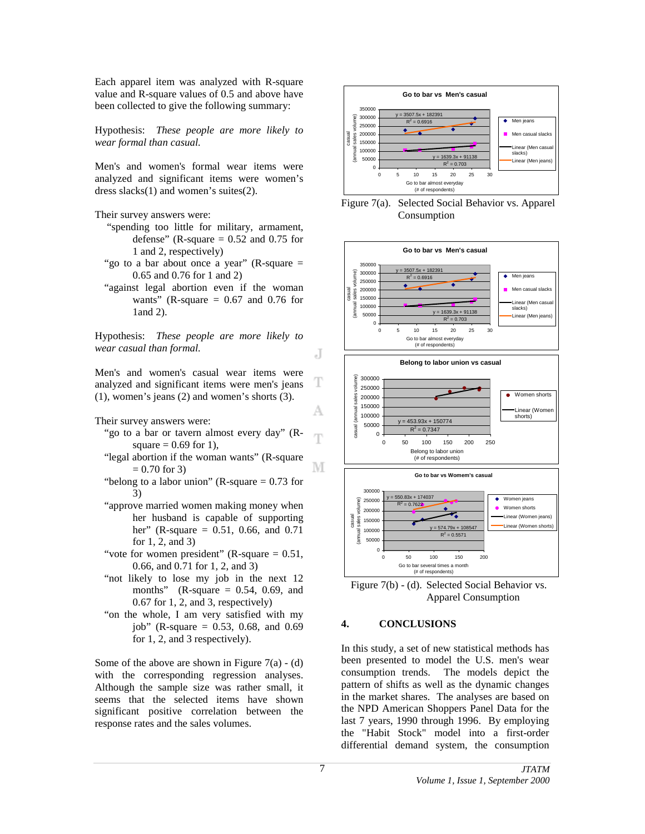Each apparel item was analyzed with R-square value and R-square values of 0.5 and above have been collected to give the following summary:

Hypothesis: *These people are more likely to wear formal than casual.*

Men's and women's formal wear items were analyzed and significant items were women's dress slacks(1) and women's suites(2).

Their survey answers were:

- "spending too little for military, armament, defense" (R-square  $= 0.52$  and 0.75 for 1 and 2, respectively)
- "go to a bar about once a year" (R-square  $=$ 0.65 and 0.76 for 1 and 2)
- "against legal abortion even if the woman wants" (R-square  $= 0.67$  and 0.76 for 1and 2).

Hypothesis: *These people are more likely to wear casual than formal.*

Men's and women's casual wear items were analyzed and significant items were men's jeans (1), women's jeans (2) and women's shorts (3).

Their survey answers were:

- "go to a bar or tavern almost every day" (R-T square  $= 0.69$  for 1),
- "legal abortion if the woman wants" (R-square  $= 0.70$  for 3)
- "belong to a labor union" (R-square  $= 0.73$  for 3)
- "approve married women making money when her husband is capable of supporting her" (R-square = 0.51, 0.66, and 0.71) for 1, 2, and 3)
- "vote for women president" (R-square  $= 0.51$ , 0.66, and 0.71 for 1, 2, and 3)
- "not likely to lose my job in the next 12 months" (R-square  $= 0.54, 0.69,$  and 0.67 for 1, 2, and 3, respectively)
- "on the whole, I am very satisfied with my job" (R-square  $= 0.53, 0.68,$  and  $0.69$ for 1, 2, and 3 respectively).

Some of the above are shown in Figure  $7(a) - (d)$ with the corresponding regression analyses. Although the sample size was rather small, it seems that the selected items have shown significant positive correlation between the response rates and the sales volumes.



Figure 7(a). Selected Social Behavior vs. Apparel Consumption



Figure 7(b) - (d). Selected Social Behavior vs. Apparel Consumption

#### **4. CONCLUSIONS**

In this study, a set of new statistical methods has been presented to model the U.S. men's wear consumption trends. The models depict the pattern of shifts as well as the dynamic changes in the market shares. The analyses are based on the NPD American Shoppers Panel Data for the last 7 years, 1990 through 1996. By employing the "Habit Stock" model into a first-order differential demand system, the consumption

J

T

А

М